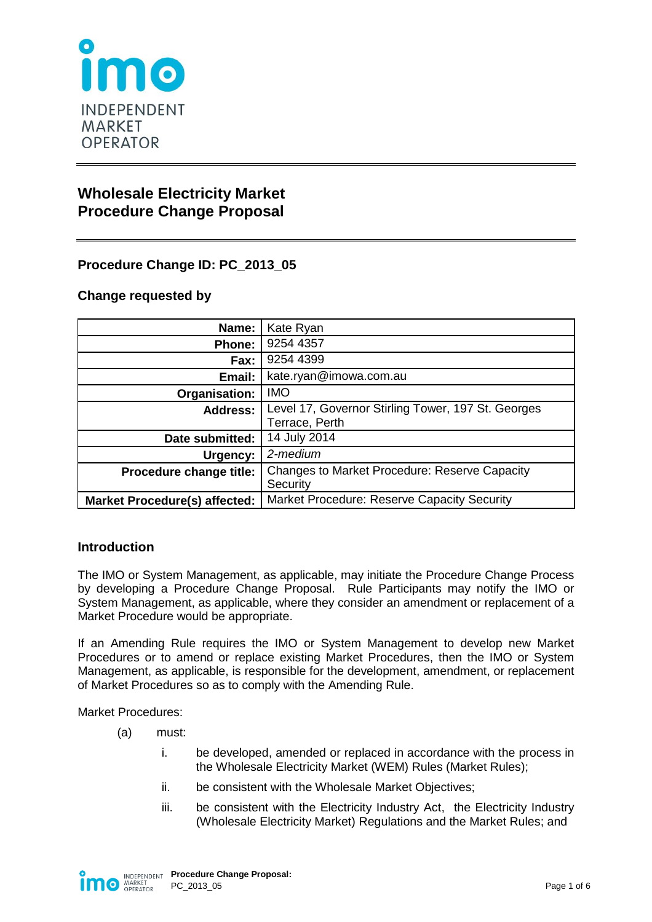

# **Wholesale Electricity Market Procedure Change Proposal**

**Procedure Change ID: PC\_2013\_05**

## **Change requested by**

| Name:                                | Kate Ryan                                            |
|--------------------------------------|------------------------------------------------------|
| Phone:                               | 9254 4357                                            |
| Fax:                                 | 9254 4399                                            |
| Email:                               | kate.ryan@imowa.com.au                               |
| Organisation:                        | <b>IMO</b>                                           |
| <b>Address:</b>                      | Level 17, Governor Stirling Tower, 197 St. Georges   |
|                                      | Terrace, Perth                                       |
| Date submitted:                      | 14 July 2014                                         |
| Urgency:                             | 2-medium                                             |
| Procedure change title:              | <b>Changes to Market Procedure: Reserve Capacity</b> |
|                                      | Security                                             |
| <b>Market Procedure(s) affected:</b> | <b>Market Procedure: Reserve Capacity Security</b>   |

# **Introduction**

The IMO or System Management, as applicable, may initiate the Procedure Change Process by developing a Procedure Change Proposal. Rule Participants may notify the IMO or System Management, as applicable, where they consider an amendment or replacement of a Market Procedure would be appropriate.

If an Amending Rule requires the IMO or System Management to develop new Market Procedures or to amend or replace existing Market Procedures, then the IMO or System Management, as applicable, is responsible for the development, amendment, or replacement of Market Procedures so as to comply with the Amending Rule.

Market Procedures:

- (a) must:
	- i. be developed, amended or replaced in accordance with the process in the Wholesale Electricity Market (WEM) Rules (Market Rules);
	- ii. be consistent with the Wholesale Market Objectives;
	- iii. be consistent with the Electricity Industry Act, the Electricity Industry (Wholesale Electricity Market) Regulations and the Market Rules; and

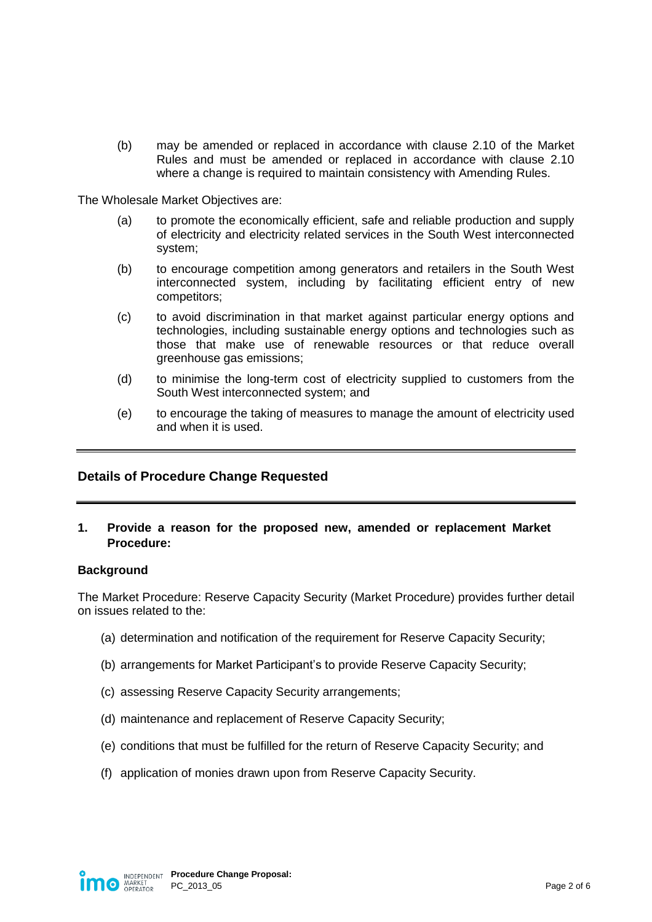(b) may be amended or replaced in accordance with clause 2.10 of the Market Rules and must be amended or replaced in accordance with clause 2.10 where a change is required to maintain consistency with Amending Rules.

The Wholesale Market Objectives are:

- (a) to promote the economically efficient, safe and reliable production and supply of electricity and electricity related services in the South West interconnected system;
- (b) to encourage competition among generators and retailers in the South West interconnected system, including by facilitating efficient entry of new competitors;
- (c) to avoid discrimination in that market against particular energy options and technologies, including sustainable energy options and technologies such as those that make use of renewable resources or that reduce overall greenhouse gas emissions;
- (d) to minimise the long-term cost of electricity supplied to customers from the South West interconnected system; and
- (e) to encourage the taking of measures to manage the amount of electricity used and when it is used.

#### **Details of Procedure Change Requested**

**1. Provide a reason for the proposed new, amended or replacement Market Procedure:**

#### **Background**

The Market Procedure: Reserve Capacity Security (Market Procedure) provides further detail on issues related to the:

- (a) determination and notification of the requirement for Reserve Capacity Security;
- (b) arrangements for Market Participant's to provide Reserve Capacity Security;
- (c) assessing Reserve Capacity Security arrangements;
- (d) maintenance and replacement of Reserve Capacity Security;
- (e) conditions that must be fulfilled for the return of Reserve Capacity Security; and
- (f) application of monies drawn upon from Reserve Capacity Security.

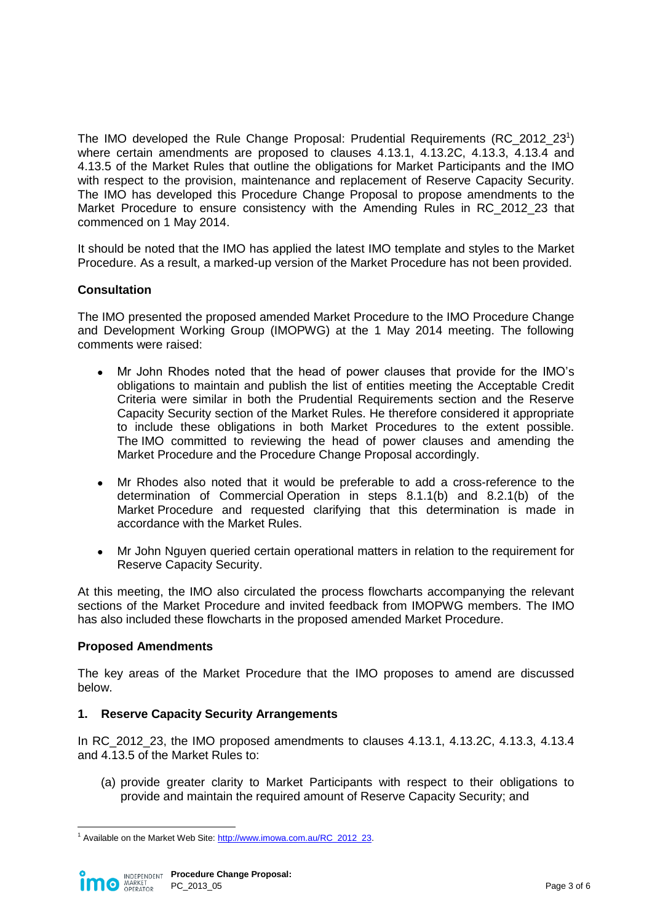The IMO developed the Rule Change Proposal: Prudential Requirements (RC\_2012\_23<sup>1</sup>) where certain amendments are proposed to clauses 4.13.1, 4.13.2C, 4.13.3, 4.13.4 and 4.13.5 of the Market Rules that outline the obligations for Market Participants and the IMO with respect to the provision, maintenance and replacement of Reserve Capacity Security. The IMO has developed this Procedure Change Proposal to propose amendments to the Market Procedure to ensure consistency with the Amending Rules in RC\_2012\_23 that commenced on 1 May 2014.

It should be noted that the IMO has applied the latest IMO template and styles to the Market Procedure. As a result, a marked-up version of the Market Procedure has not been provided.

#### **Consultation**

The IMO presented the proposed amended Market Procedure to the IMO Procedure Change and Development Working Group (IMOPWG) at the 1 May 2014 meeting. The following comments were raised:

- Mr John Rhodes noted that the head of power clauses that provide for the IMO's obligations to maintain and publish the list of entities meeting the Acceptable Credit Criteria were similar in both the Prudential Requirements section and the Reserve Capacity Security section of the Market Rules. He therefore considered it appropriate to include these obligations in both Market Procedures to the extent possible. The IMO committed to reviewing the head of power clauses and amending the Market Procedure and the Procedure Change Proposal accordingly.
- Mr Rhodes also noted that it would be preferable to add a cross-reference to the determination of Commercial Operation in steps 8.1.1(b) and 8.2.1(b) of the Market Procedure and requested clarifying that this determination is made in accordance with the Market Rules.
- Mr John Nguyen queried certain operational matters in relation to the requirement for Reserve Capacity Security.

At this meeting, the IMO also circulated the process flowcharts accompanying the relevant sections of the Market Procedure and invited feedback from IMOPWG members. The IMO has also included these flowcharts in the proposed amended Market Procedure.

#### **Proposed Amendments**

 $\overline{a}$ 

The key areas of the Market Procedure that the IMO proposes to amend are discussed below.

#### **1. Reserve Capacity Security Arrangements**

In RC\_2012\_23, the IMO proposed amendments to clauses 4.13.1, 4.13.2C, 4.13.3, 4.13.4 and 4.13.5 of the Market Rules to:

(a) provide greater clarity to Market Participants with respect to their obligations to provide and maintain the required amount of Reserve Capacity Security; and

<sup>&</sup>lt;sup>1</sup> Available on the Market Web Site[: http://www.imowa.com.au/RC\\_2012\\_23.](http://www.imowa.com.au/RC_2012_23)

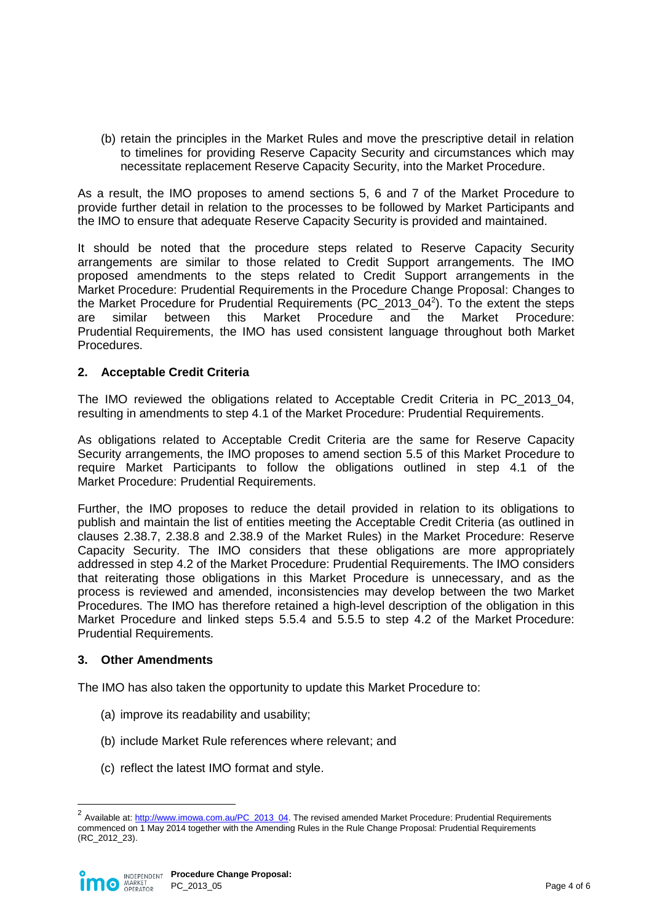(b) retain the principles in the Market Rules and move the prescriptive detail in relation to timelines for providing Reserve Capacity Security and circumstances which may necessitate replacement Reserve Capacity Security, into the Market Procedure.

As a result, the IMO proposes to amend sections 5, 6 and 7 of the Market Procedure to provide further detail in relation to the processes to be followed by Market Participants and the IMO to ensure that adequate Reserve Capacity Security is provided and maintained.

It should be noted that the procedure steps related to Reserve Capacity Security arrangements are similar to those related to Credit Support arrangements. The IMO proposed amendments to the steps related to Credit Support arrangements in the Market Procedure: Prudential Requirements in the Procedure Change Proposal: Changes to the Market Procedure for Prudential Requirements (PC\_2013\_04<sup>2</sup>). To the extent the steps are similar between this Market Procedure and the Market Procedure: Prudential Requirements, the IMO has used consistent language throughout both Market Procedures.

## **2. Acceptable Credit Criteria**

The IMO reviewed the obligations related to Acceptable Credit Criteria in PC\_2013\_04, resulting in amendments to step 4.1 of the Market Procedure: Prudential Requirements.

As obligations related to Acceptable Credit Criteria are the same for Reserve Capacity Security arrangements, the IMO proposes to amend section 5.5 of this Market Procedure to require Market Participants to follow the obligations outlined in step 4.1 of the Market Procedure: Prudential Requirements.

Further, the IMO proposes to reduce the detail provided in relation to its obligations to publish and maintain the list of entities meeting the Acceptable Credit Criteria (as outlined in clauses 2.38.7, 2.38.8 and 2.38.9 of the Market Rules) in the Market Procedure: Reserve Capacity Security. The IMO considers that these obligations are more appropriately addressed in step 4.2 of the Market Procedure: Prudential Requirements. The IMO considers that reiterating those obligations in this Market Procedure is unnecessary, and as the process is reviewed and amended, inconsistencies may develop between the two Market Procedures. The IMO has therefore retained a high-level description of the obligation in this Market Procedure and linked steps 5.5.4 and 5.5.5 to step 4.2 of the Market Procedure: Prudential Requirements.

#### **3. Other Amendments**

 $\overline{a}$ 

The IMO has also taken the opportunity to update this Market Procedure to:

- (a) improve its readability and usability;
- (b) include Market Rule references where relevant; and
- (c) reflect the latest IMO format and style.

<sup>&</sup>lt;sup>2</sup> Available at: [http://www.imowa.com.au/PC\\_2013\\_04.](http://www.imowa.com.au/PC_2013_04) The revised amended Market Procedure: Prudential Requirements commenced on 1 May 2014 together with the Amending Rules in the Rule Change Proposal: Prudential Requirements (RC\_2012\_23).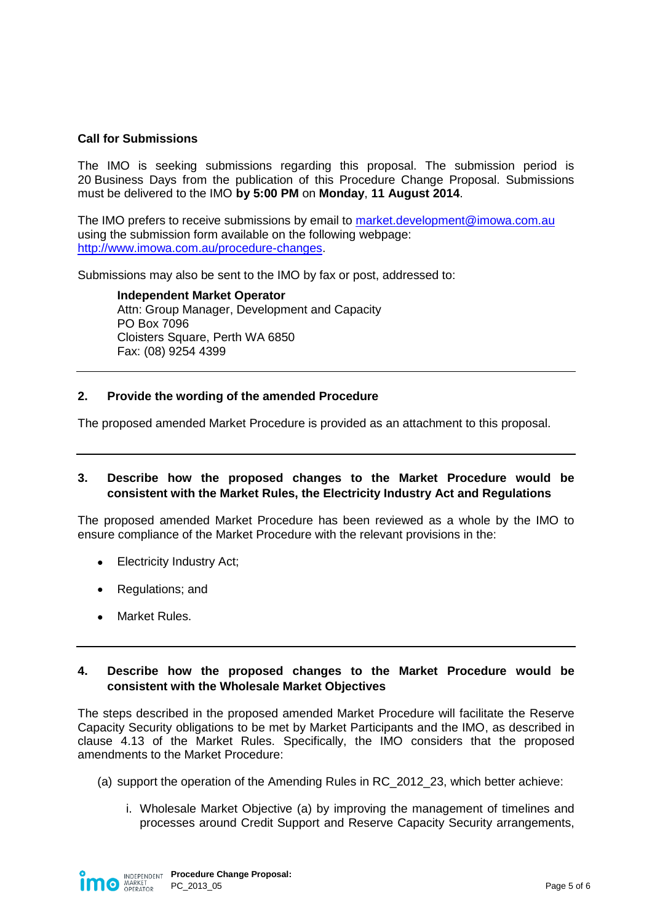#### **Call for Submissions**

The IMO is seeking submissions regarding this proposal. The submission period is 20 Business Days from the publication of this Procedure Change Proposal. Submissions must be delivered to the IMO **by 5:00 PM** on **Monday**, **11 August 2014**.

The IMO prefers to receive submissions by email to [market.development@imowa.com.au](file://imo.local/DFSRoot/Share/IMO/Market%20Administration/Procedures/Procedure%20Change%20Process/IMO%20Procedure%20Changes/WEM/2013/PC_2013_04%20Prudential%20Requirements/Procedure%20change%20proposal%20%20in%202013/market.development@imowa.com.au) using the submission form available on the following webpage: [http://www.imowa.com.au/procedure-changes.](http://www.imowa.com.au/procedure-changes)

Submissions may also be sent to the IMO by fax or post, addressed to:

**Independent Market Operator** Attn: Group Manager, Development and Capacity PO Box 7096 Cloisters Square, Perth WA 6850 Fax: (08) 9254 4399

#### **2. Provide the wording of the amended Procedure**

The proposed amended Market Procedure is provided as an attachment to this proposal.

#### **3. Describe how the proposed changes to the Market Procedure would be consistent with the Market Rules, the Electricity Industry Act and Regulations**

The proposed amended Market Procedure has been reviewed as a whole by the IMO to ensure compliance of the Market Procedure with the relevant provisions in the:

- Electricity Industry Act;
- Regulations; and
- Market Rules.

#### **4. Describe how the proposed changes to the Market Procedure would be consistent with the Wholesale Market Objectives**

The steps described in the proposed amended Market Procedure will facilitate the Reserve Capacity Security obligations to be met by Market Participants and the IMO, as described in clause 4.13 of the Market Rules. Specifically, the IMO considers that the proposed amendments to the Market Procedure:

- (a) support the operation of the Amending Rules in RC\_2012\_23, which better achieve:
	- i. Wholesale Market Objective (a) by improving the management of timelines and processes around Credit Support and Reserve Capacity Security arrangements,